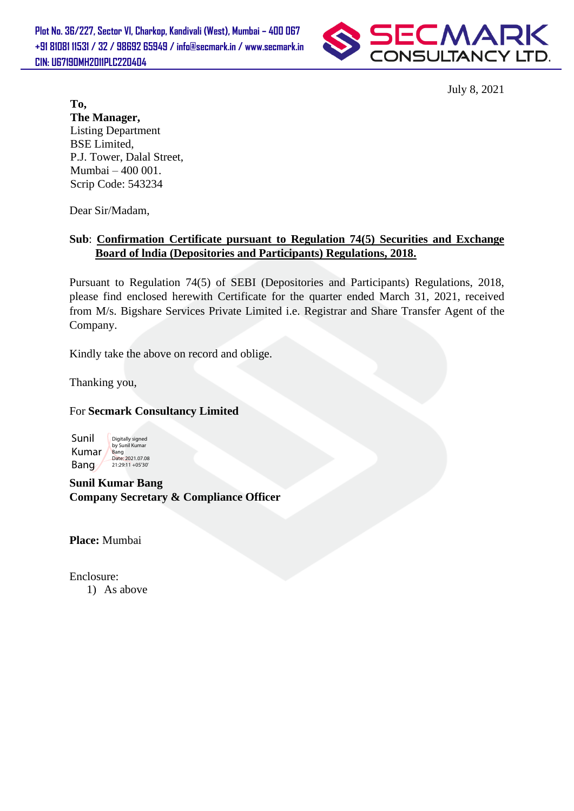**Plot No. 36/227, Sector VI, Charkop, Kandivali (West), Mumbai – 400 067 +91 81081 11531 / 32 / 98692 65949 / info@secmark.in / www.secmark.in CIN: U67190MH2011PLC220404**



July 8, 2021

**To, The Manager,** Listing Department BSE Limited, P.J. Tower, Dalal Street, Mumbai – 400 001. Scrip Code: 543234

Dear Sir/Madam,

## **Sub**: **Confirmation Certificate pursuant to Regulation 74(5) Securities and Exchange Board of lndia (Depositories and Participants) Regulations, 2018.**

Pursuant to Regulation 74(5) of SEBI (Depositories and Participants) Regulations, 2018, please find enclosed herewith Certificate for the quarter ended March 31, 2021, received from M/s. Bigshare Services Private Limited i.e. Registrar and Share Transfer Agent of the Company.

Kindly take the above on record and oblige.

Thanking you,

## For **Secmark Consultancy Limited**



**Sunil Kumar Bang Company Secretary & Compliance Officer**

**Place:** Mumbai

Enclosure:

1) As above